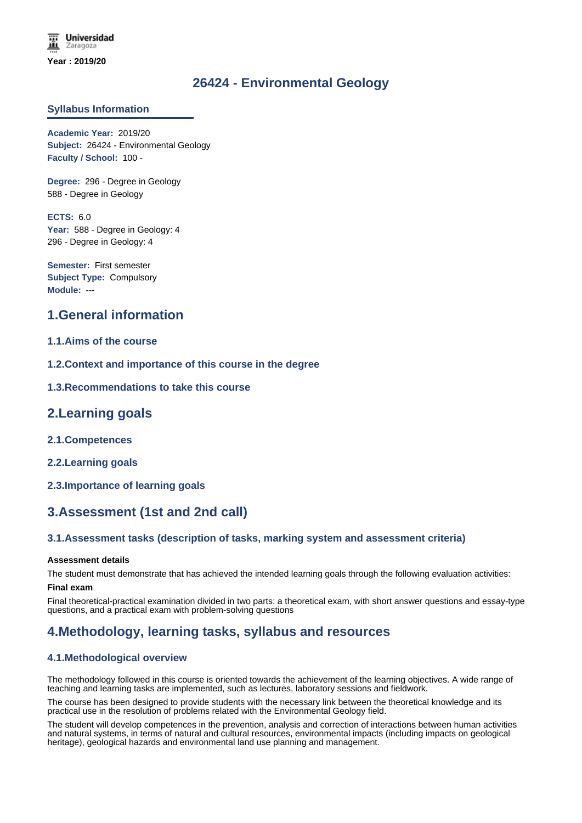# **26424 - Environmental Geology**

## **Syllabus Information**

**Academic Year:** 2019/20 **Subject:** 26424 - Environmental Geology **Faculty / School:** 100 -

**Degree:** 296 - Degree in Geology 588 - Degree in Geology

**ECTS:** 6.0 Year: 588 - Degree in Geology: 4 296 - Degree in Geology: 4

**Semester:** First semester **Subject Type:** Compulsory **Module:** ---

# **1.General information**

## **1.1.Aims of the course**

- **1.2.Context and importance of this course in the degree**
- **1.3.Recommendations to take this course**

## **2.Learning goals**

- **2.1.Competences**
- **2.2.Learning goals**
- **2.3.Importance of learning goals**

# **3.Assessment (1st and 2nd call)**

## **3.1.Assessment tasks (description of tasks, marking system and assessment criteria)**

### **Assessment details**

The student must demonstrate that has achieved the intended learning goals through the following evaluation activities:

### **Final exam**

Final theoretical-practical examination divided in two parts: a theoretical exam, with short answer questions and essay-type questions, and a practical exam with problem-solving questions

# **4.Methodology, learning tasks, syllabus and resources**

## **4.1.Methodological overview**

The methodology followed in this course is oriented towards the achievement of the learning objectives. A wide range of teaching and learning tasks are implemented, such as lectures, laboratory sessions and fieldwork.

The course has been designed to provide students with the necessary link between the theoretical knowledge and its practical use in the resolution of problems related with the Environmental Geology field.

The student will develop competences in the prevention, analysis and correction of interactions between human activities and natural systems, in terms of natural and cultural resources, environmental impacts (including impacts on geological heritage), geological hazards and environmental land use planning and management.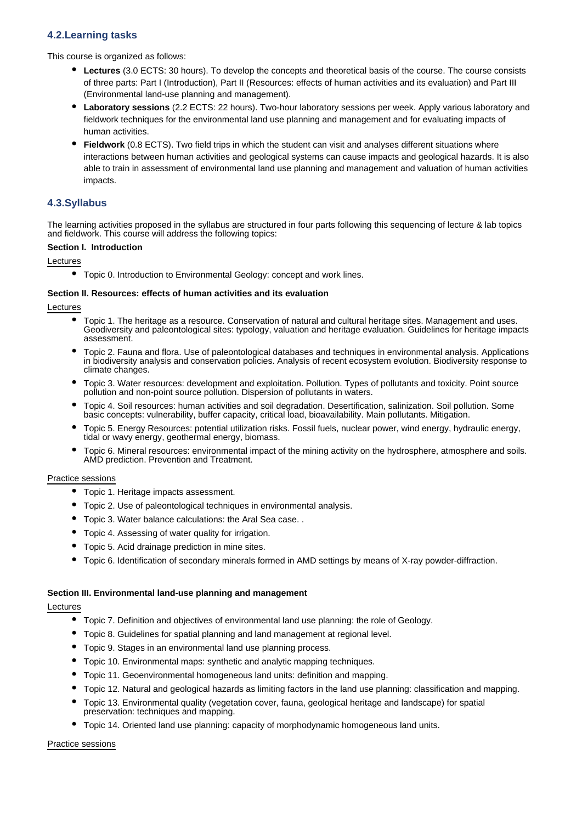## **4.2.Learning tasks**

This course is organized as follows:

- **Lectures** (3.0 ECTS: 30 hours). To develop the concepts and theoretical basis of the course. The course consists of three parts: Part I (Introduction), Part II (Resources: effects of human activities and its evaluation) and Part III (Environmental land-use planning and management).
- **Laboratory sessions** (2.2 ECTS: 22 hours). Two-hour laboratory sessions per week. Apply various laboratory and fieldwork techniques for the environmental land use planning and management and for evaluating impacts of human activities.
- **Fieldwork** (0.8 ECTS). Two field trips in which the student can visit and analyses different situations where interactions between human activities and geological systems can cause impacts and geological hazards. It is also able to train in assessment of environmental land use planning and management and valuation of human activities impacts.

## **4.3.Syllabus**

The learning activities proposed in the syllabus are structured in four parts following this sequencing of lecture & lab topics and fieldwork. This course will address the following topics:

### **Section I. Introduction**

Lectures

Topic 0. Introduction to Environmental Geology: concept and work lines.

### **Section II. Resources: effects of human activities and its evaluation**

Lectures

- Topic 1. The heritage as a resource. Conservation of natural and cultural heritage sites. Management and uses. Geodiversity and paleontological sites: typology, valuation and heritage evaluation. Guidelines for heritage impacts assessment.
- Topic 2. Fauna and flora. Use of paleontological databases and techniques in environmental analysis. Applications in biodiversity analysis and conservation policies. Analysis of recent ecosystem evolution. Biodiversity response to climate changes.
- Topic 3. Water resources: development and exploitation. Pollution. Types of pollutants and toxicity. Point source  $\bullet$ pollution and non-point source pollution. Dispersion of pollutants in waters.
- Topic 4. Soil resources: human activities and soil degradation. Desertification, salinization. Soil pollution. Some basic concepts: vulnerability, buffer capacity, critical load, bioavailability. Main pollutants. Mitigation.
- Topic 5. Energy Resources: potential utilization risks. Fossil fuels, nuclear power, wind energy, hydraulic energy, tidal or wavy energy, geothermal energy, biomass.
- Topic 6. Mineral resources: environmental impact of the mining activity on the hydrosphere, atmosphere and soils. AMD prediction. Prevention and Treatment.

### Practice sessions

- Topic 1. Heritage impacts assessment.
- Topic 2. Use of paleontological techniques in environmental analysis.
- Topic 3. Water balance calculations: the Aral Sea case. .
- Topic 4. Assessing of water quality for irrigation.
- Topic 5. Acid drainage prediction in mine sites.
- Topic 6. Identification of secondary minerals formed in AMD settings by means of X-ray powder-diffraction.

### **Section III. Environmental land-use planning and management**

### Lectures

- Topic 7. Definition and objectives of environmental land use planning: the role of Geology.
- Topic 8. Guidelines for spatial planning and land management at regional level.
- Topic 9. Stages in an environmental land use planning process.
- Topic 10. Environmental maps: synthetic and analytic mapping techniques.
- Topic 11. Geoenvironmental homogeneous land units: definition and mapping.
- Topic 12. Natural and geological hazards as limiting factors in the land use planning: classification and mapping.
- Topic 13. Environmental quality (vegetation cover, fauna, geological heritage and landscape) for spatial preservation: techniques and mapping.
- Topic 14. Oriented land use planning: capacity of morphodynamic homogeneous land units.

### Practice sessions